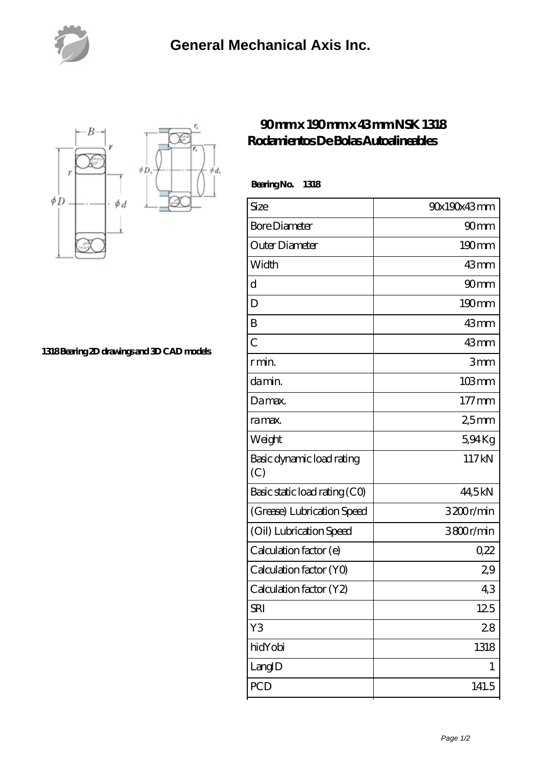



**[1318 Bearing 2D drawings and 3D CAD models](https://nfbxa.com/pic-64784986.html)**

## **[90 mm x 190 mm x 43 mm NSK 1318](https://nfbxa.com/aw-64784986-nsk-1318-rodamientos-de-bolas-autoalineables.html) [Rodamientos De Bolas Autoalineables](https://nfbxa.com/aw-64784986-nsk-1318-rodamientos-de-bolas-autoalineables.html)**

| Size                             | 90x190x43mm        |
|----------------------------------|--------------------|
| <b>Bore Diameter</b>             | 90 <sub>mm</sub>   |
| Outer Diameter                   | $190 \text{mm}$    |
| Width                            | 43mm               |
| d                                | 90 <sub>mm</sub>   |
| D                                | $190 \text{mm}$    |
| B                                | 43mm               |
| $\overline{C}$                   | 43mm               |
| r min.                           | 3mm                |
| da min.                          | $103 \, \text{mm}$ |
| Damax.                           | $177$ mm           |
| ra max.                          | 25mm               |
| Weight                           | 594Kg              |
| Basic dynamic load rating<br>(C) | 117kN              |
| Basic static load rating (CO)    | 44,5kN             |
| (Grease) Lubrication Speed       | 3200r/min          |
| (Oil) Lubrication Speed          | 3800r/min          |
| Calculation factor (e)           | 0.22               |
| Calculation factor (YO)          | 29                 |
| Calculation factor (Y2)          | 43                 |
| <b>SRI</b>                       | 125                |
| Y3                               | 28                 |
| hidYobi                          | 1318               |
| LangID                           | 1                  |
| PCD                              | 141.5              |